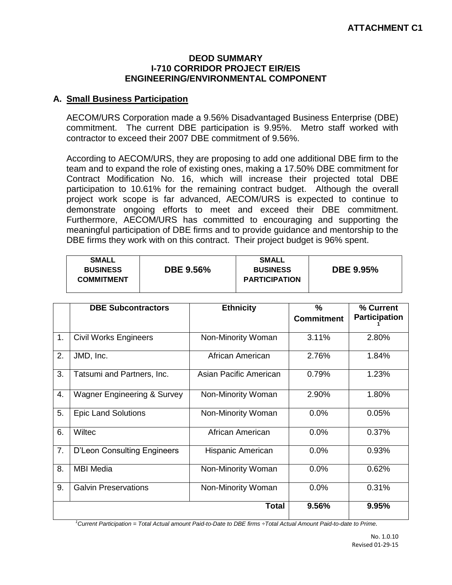## **DEOD SUMMARY I-710 CORRIDOR PROJECT EIR/EIS ENGINEERING/ENVIRONMENTAL COMPONENT**

## **A. Small Business Participation**

AECOM/URS Corporation made a 9.56% Disadvantaged Business Enterprise (DBE) commitment. The current DBE participation is 9.95%. Metro staff worked with contractor to exceed their 2007 DBE commitment of 9.56%.

According to AECOM/URS, they are proposing to add one additional DBE firm to the team and to expand the role of existing ones, making a 17.50% DBE commitment for Contract Modification No. 16, which will increase their projected total DBE participation to 10.61% for the remaining contract budget. Although the overall project work scope is far advanced, AECOM/URS is expected to continue to demonstrate ongoing efforts to meet and exceed their DBE commitment. Furthermore, AECOM/URS has committed to encouraging and supporting the meaningful participation of DBE firms and to provide guidance and mentorship to the DBE firms they work with on this contract. Their project budget is 96% spent.

| <b>DBE 9.95%</b><br><b>DBE 9.56%</b><br><b>BUSINESS</b><br><b>BUSINESS</b><br><b>PARTICIPATION</b><br><b>COMMITMENT</b> | <b>SMALL</b> |  | <b>SMALL</b> |  |
|-------------------------------------------------------------------------------------------------------------------------|--------------|--|--------------|--|
|-------------------------------------------------------------------------------------------------------------------------|--------------|--|--------------|--|

|    | <b>DBE Subcontractors</b>              | <b>Ethnicity</b>       | %<br><b>Commitment</b> | % Current<br><b>Participation</b> |
|----|----------------------------------------|------------------------|------------------------|-----------------------------------|
| 1. | <b>Civil Works Engineers</b>           | Non-Minority Woman     | 3.11%                  | 2.80%                             |
| 2. | JMD, Inc.                              | African American       | 2.76%                  | 1.84%                             |
| 3. | Tatsumi and Partners, Inc.             | Asian Pacific American | 0.79%                  | 1.23%                             |
| 4. | <b>Wagner Engineering &amp; Survey</b> | Non-Minority Woman     | 2.90%                  | 1.80%                             |
| 5. | <b>Epic Land Solutions</b>             | Non-Minority Woman     | 0.0%                   | 0.05%                             |
| 6. | Wiltec                                 | African American       | 0.0%                   | 0.37%                             |
| 7. | <b>D'Leon Consulting Engineers</b>     | Hispanic American      | 0.0%                   | 0.93%                             |
| 8. | <b>MBI Media</b>                       | Non-Minority Woman     | 0.0%                   | 0.62%                             |
| 9. | <b>Galvin Preservations</b>            | Non-Minority Woman     | 0.0%                   | 0.31%                             |
|    |                                        | <b>Total</b>           | 9.56%                  | 9.95%                             |

*<sup>1</sup>Current Participation = Total Actual amount Paid-to-Date to DBE firms ÷Total Actual Amount Paid-to-date to Prime.*